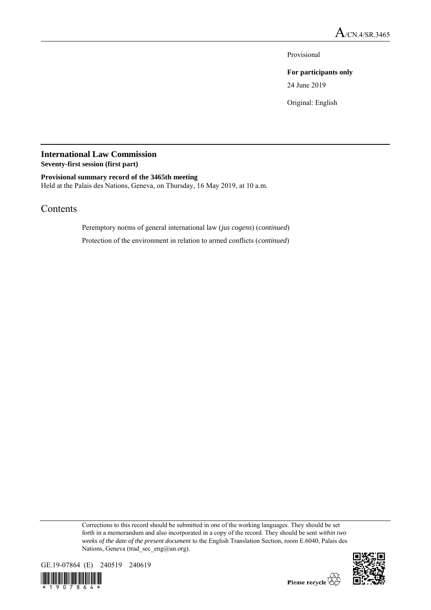Provisional

**For participants only**

24 June 2019

Original: English

# **International Law Commission**

**Seventy-first session (first part)**

### **Provisional summary record of the 3465th meeting**

Held at the Palais des Nations, Geneva, on Thursday, 16 May 2019, at 10 a.m.

## Contents

Peremptory norms of general international law (*jus cogens*) (*continued*)

Protection of the environment in relation to armed conflicts (*continued*)

Corrections to this record should be submitted in one of the working languages. They should be set forth in a memorandum and also incorporated in a copy of the record. They should be sent *within two weeks of the date of the present document* to the English Translation Section, room E.6040, Palais des Nations, Geneva (trad\_sec\_eng@un.org).



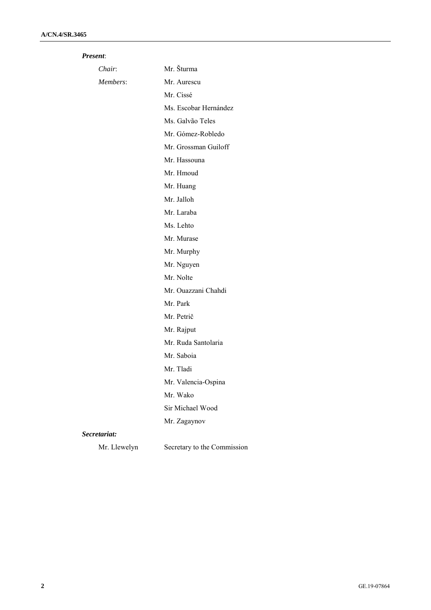| Present: |
|----------|
|          |

| Chair:       | Mr. Šturma                  |
|--------------|-----------------------------|
| Members:     | Mr. Aurescu                 |
|              | Mr. Cissé                   |
|              | Ms. Escobar Hernández       |
|              | Ms. Galvão Teles            |
|              | Mr. Gómez-Robledo           |
|              | Mr. Grossman Guiloff        |
|              | Mr. Hassouna                |
|              | Mr. Hmoud                   |
|              | Mr. Huang                   |
|              | Mr. Jalloh                  |
|              | Mr. Laraba                  |
|              | Ms. Lehto                   |
|              | Mr. Murase                  |
|              | Mr. Murphy                  |
|              | Mr. Nguyen                  |
|              | Mr. Nolte                   |
|              | Mr. Ouazzani Chahdi         |
|              | Mr. Park                    |
|              | Mr. Petrič                  |
|              | Mr. Rajput                  |
|              | Mr. Ruda Santolaria         |
|              | Mr. Saboia                  |
|              | Mr. Tladi                   |
|              | Mr. Valencia-Ospina         |
|              | Mr. Wako                    |
|              | Sir Michael Wood            |
|              | Mr. Zagaynov                |
| Secretariat: |                             |
| Mr. Llewelyn | Secretary to the Commission |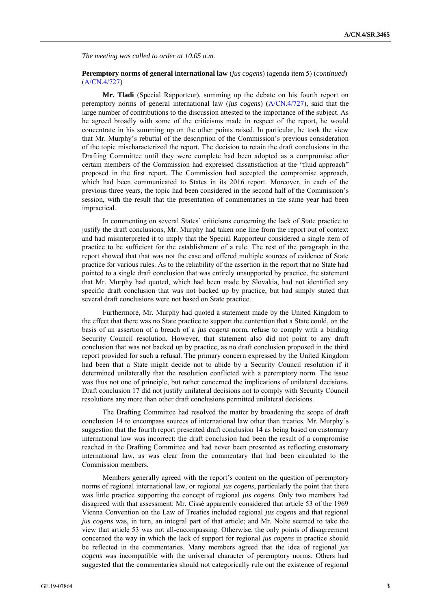*The meeting was called to order at 10.05 a.m.*

#### **Peremptory norms of general international law** (*jus cogens*) (agenda item 5) (*continued*) (A/CN.4/727)

**Mr. Tladi** (Special Rapporteur), summing up the debate on his fourth report on peremptory norms of general international law (*jus cogens*) (A/CN.4/727), said that the large number of contributions to the discussion attested to the importance of the subject. As he agreed broadly with some of the criticisms made in respect of the report, he would concentrate in his summing up on the other points raised. In particular, he took the view that Mr. Murphy's rebuttal of the description of the Commission's previous consideration of the topic mischaracterized the report. The decision to retain the draft conclusions in the Drafting Committee until they were complete had been adopted as a compromise after certain members of the Commission had expressed dissatisfaction at the "fluid approach" proposed in the first report. The Commission had accepted the compromise approach, which had been communicated to States in its 2016 report. Moreover, in each of the previous three years, the topic had been considered in the second half of the Commission's session, with the result that the presentation of commentaries in the same year had been impractical.

In commenting on several States' criticisms concerning the lack of State practice to justify the draft conclusions, Mr. Murphy had taken one line from the report out of context and had misinterpreted it to imply that the Special Rapporteur considered a single item of practice to be sufficient for the establishment of a rule. The rest of the paragraph in the report showed that that was not the case and offered multiple sources of evidence of State practice for various rules. As to the reliability of the assertion in the report that no State had pointed to a single draft conclusion that was entirely unsupported by practice, the statement that Mr. Murphy had quoted, which had been made by Slovakia, had not identified any specific draft conclusion that was not backed up by practice, but had simply stated that several draft conclusions were not based on State practice.

Furthermore, Mr. Murphy had quoted a statement made by the United Kingdom to the effect that there was no State practice to support the contention that a State could, on the basis of an assertion of a breach of a *jus cogens* norm, refuse to comply with a binding Security Council resolution. However, that statement also did not point to any draft conclusion that was not backed up by practice, as no draft conclusion proposed in the third report provided for such a refusal. The primary concern expressed by the United Kingdom had been that a State might decide not to abide by a Security Council resolution if it determined unilaterally that the resolution conflicted with a peremptory norm. The issue was thus not one of principle, but rather concerned the implications of unilateral decisions. Draft conclusion 17 did not justify unilateral decisions not to comply with Security Council resolutions any more than other draft conclusions permitted unilateral decisions.

The Drafting Committee had resolved the matter by broadening the scope of draft conclusion 14 to encompass sources of international law other than treaties. Mr. Murphy's suggestion that the fourth report presented draft conclusion 14 as being based on customary international law was incorrect: the draft conclusion had been the result of a compromise reached in the Drafting Committee and had never been presented as reflecting customary international law, as was clear from the commentary that had been circulated to the Commission members.

Members generally agreed with the report's content on the question of peremptory norms of regional international law, or regional *jus cogens*, particularly the point that there was little practice supporting the concept of regional *jus cogens*. Only two members had disagreed with that assessment: Mr. Cissé apparently considered that article 53 of the 1969 Vienna Convention on the Law of Treaties included regional *jus cogens* and that regional *jus cogens* was, in turn, an integral part of that article; and Mr. Nolte seemed to take the view that article 53 was not all-encompassing. Otherwise, the only points of disagreement concerned the way in which the lack of support for regional *jus cogens* in practice should be reflected in the commentaries. Many members agreed that the idea of regional *jus cogens* was incompatible with the universal character of peremptory norms. Others had suggested that the commentaries should not categorically rule out the existence of regional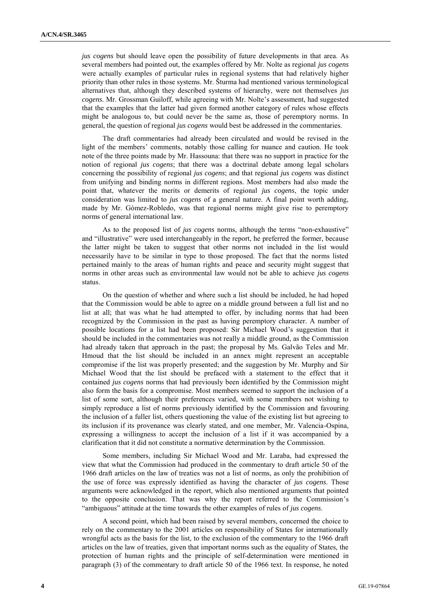*jus cogens* but should leave open the possibility of future developments in that area. As several members had pointed out, the examples offered by Mr. Nolte as regional *jus cogens* were actually examples of particular rules in regional systems that had relatively higher priority than other rules in those systems. Mr. Šturma had mentioned various terminological alternatives that, although they described systems of hierarchy, were not themselves *jus cogens*. Mr. Grossman Guiloff, while agreeing with Mr. Nolte's assessment, had suggested that the examples that the latter had given formed another category of rules whose effects might be analogous to, but could never be the same as, those of peremptory norms. In general, the question of regional *jus cogens* would best be addressed in the commentaries.

The draft commentaries had already been circulated and would be revised in the light of the members' comments, notably those calling for nuance and caution. He took note of the three points made by Mr. Hassouna: that there was no support in practice for the notion of regional *jus cogens*; that there was a doctrinal debate among legal scholars concerning the possibility of regional *jus cogens*; and that regional *jus cogens* was distinct from unifying and binding norms in different regions. Most members had also made the point that, whatever the merits or demerits of regional *jus cogens*, the topic under consideration was limited to *jus cogens* of a general nature. A final point worth adding, made by Mr. Gómez-Robledo, was that regional norms might give rise to peremptory norms of general international law.

As to the proposed list of *jus cogens* norms, although the terms "non-exhaustive" and "illustrative" were used interchangeably in the report, he preferred the former, because the latter might be taken to suggest that other norms not included in the list would necessarily have to be similar in type to those proposed. The fact that the norms listed pertained mainly to the areas of human rights and peace and security might suggest that norms in other areas such as environmental law would not be able to achieve *jus cogens* status.

On the question of whether and where such a list should be included, he had hoped that the Commission would be able to agree on a middle ground between a full list and no list at all; that was what he had attempted to offer, by including norms that had been recognized by the Commission in the past as having peremptory character. A number of possible locations for a list had been proposed: Sir Michael Wood's suggestion that it should be included in the commentaries was not really a middle ground, as the Commission had already taken that approach in the past; the proposal by Ms. Galvão Teles and Mr. Hmoud that the list should be included in an annex might represent an acceptable compromise if the list was properly presented; and the suggestion by Mr. Murphy and Sir Michael Wood that the list should be prefaced with a statement to the effect that it contained *jus cogens* norms that had previously been identified by the Commission might also form the basis for a compromise. Most members seemed to support the inclusion of a list of some sort, although their preferences varied, with some members not wishing to simply reproduce a list of norms previously identified by the Commission and favouring the inclusion of a fuller list, others questioning the value of the existing list but agreeing to its inclusion if its provenance was clearly stated, and one member, Mr. Valencia-Ospina, expressing a willingness to accept the inclusion of a list if it was accompanied by a clarification that it did not constitute a normative determination by the Commission.

Some members, including Sir Michael Wood and Mr. Laraba, had expressed the view that what the Commission had produced in the commentary to draft article 50 of the 1966 draft articles on the law of treaties was not a list of norms, as only the prohibition of the use of force was expressly identified as having the character of *jus cogens*. Those arguments were acknowledged in the report, which also mentioned arguments that pointed to the opposite conclusion. That was why the report referred to the Commission's "ambiguous" attitude at the time towards the other examples of rules of *jus cogens*.

A second point, which had been raised by several members, concerned the choice to rely on the commentary to the 2001 articles on responsibility of States for internationally wrongful acts as the basis for the list, to the exclusion of the commentary to the 1966 draft articles on the law of treaties, given that important norms such as the equality of States, the protection of human rights and the principle of self-determination were mentioned in paragraph (3) of the commentary to draft article 50 of the 1966 text. In response, he noted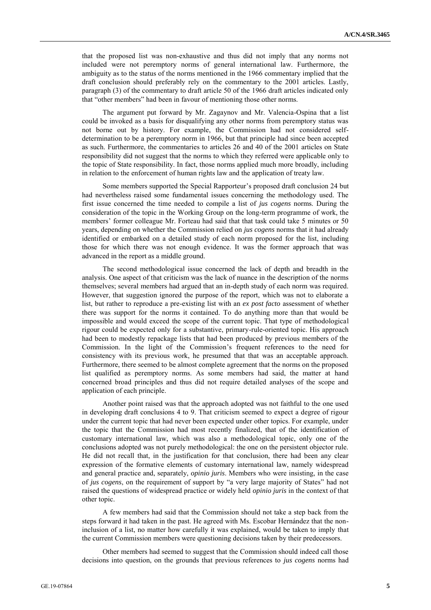that the proposed list was non-exhaustive and thus did not imply that any norms not included were not peremptory norms of general international law. Furthermore, the ambiguity as to the status of the norms mentioned in the 1966 commentary implied that the draft conclusion should preferably rely on the commentary to the 2001 articles. Lastly, paragraph (3) of the commentary to draft article 50 of the 1966 draft articles indicated only that "other members" had been in favour of mentioning those other norms.

The argument put forward by Mr. Zagaynov and Mr. Valencia-Ospina that a list could be invoked as a basis for disqualifying any other norms from peremptory status was not borne out by history. For example, the Commission had not considered selfdetermination to be a peremptory norm in 1966, but that principle had since been accepted as such. Furthermore, the commentaries to articles 26 and 40 of the 2001 articles on State responsibility did not suggest that the norms to which they referred were applicable only to the topic of State responsibility. In fact, those norms applied much more broadly, including in relation to the enforcement of human rights law and the application of treaty law.

Some members supported the Special Rapporteur's proposed draft conclusion 24 but had nevertheless raised some fundamental issues concerning the methodology used. The first issue concerned the time needed to compile a list of *jus cogens* norms. During the consideration of the topic in the Working Group on the long-term programme of work, the members' former colleague Mr. Forteau had said that that task could take 5 minutes or 50 years, depending on whether the Commission relied on *jus cogens* norms that it had already identified or embarked on a detailed study of each norm proposed for the list, including those for which there was not enough evidence. It was the former approach that was advanced in the report as a middle ground.

The second methodological issue concerned the lack of depth and breadth in the analysis. One aspect of that criticism was the lack of nuance in the description of the norms themselves; several members had argued that an in-depth study of each norm was required. However, that suggestion ignored the purpose of the report, which was not to elaborate a list, but rather to reproduce a pre-existing list with an *ex post facto* assessment of whether there was support for the norms it contained. To do anything more than that would be impossible and would exceed the scope of the current topic. That type of methodological rigour could be expected only for a substantive, primary-rule-oriented topic. His approach had been to modestly repackage lists that had been produced by previous members of the Commission. In the light of the Commission's frequent references to the need for consistency with its previous work, he presumed that that was an acceptable approach. Furthermore, there seemed to be almost complete agreement that the norms on the proposed list qualified as peremptory norms. As some members had said, the matter at hand concerned broad principles and thus did not require detailed analyses of the scope and application of each principle.

Another point raised was that the approach adopted was not faithful to the one used in developing draft conclusions 4 to 9. That criticism seemed to expect a degree of rigour under the current topic that had never been expected under other topics. For example, under the topic that the Commission had most recently finalized, that of the identification of customary international law, which was also a methodological topic, only one of the conclusions adopted was not purely methodological: the one on the persistent objector rule. He did not recall that, in the justification for that conclusion, there had been any clear expression of the formative elements of customary international law, namely widespread and general practice and, separately, *opinio juris*. Members who were insisting, in the case of *jus cogens*, on the requirement of support by "a very large majority of States" had not raised the questions of widespread practice or widely held *opinio juris* in the context of that other topic.

A few members had said that the Commission should not take a step back from the steps forward it had taken in the past. He agreed with Ms. Escobar Hernández that the noninclusion of a list, no matter how carefully it was explained, would be taken to imply that the current Commission members were questioning decisions taken by their predecessors.

Other members had seemed to suggest that the Commission should indeed call those decisions into question, on the grounds that previous references to *jus cogens* norms had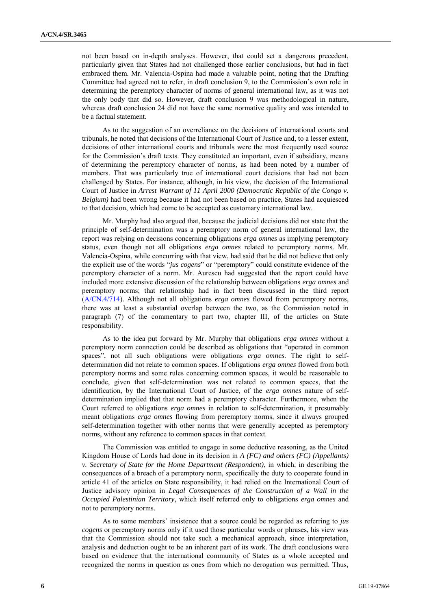not been based on in-depth analyses. However, that could set a dangerous precedent, particularly given that States had not challenged those earlier conclusions, but had in fact embraced them. Mr. Valencia-Ospina had made a valuable point, noting that the Drafting Committee had agreed not to refer, in draft conclusion 9, to the Commission's own role in determining the peremptory character of norms of general international law, as it was not the only body that did so. However, draft conclusion 9 was methodological in nature, whereas draft conclusion 24 did not have the same normative quality and was intended to be a factual statement.

As to the suggestion of an overreliance on the decisions of international courts and tribunals, he noted that decisions of the International Court of Justice and, to a lesser extent, decisions of other international courts and tribunals were the most frequently used source for the Commission's draft texts. They constituted an important, even if subsidiary, means of determining the peremptory character of norms, as had been noted by a number of members. That was particularly true of international court decisions that had not been challenged by States. For instance, although, in his view, the decision of the International Court of Justice in *Arrest Warrant of 11 April 2000 (Democratic Republic of the Congo v. Belgium)* had been wrong because it had not been based on practice, States had acquiesced to that decision, which had come to be accepted as customary international law.

Mr. Murphy had also argued that, because the judicial decisions did not state that the principle of self-determination was a peremptory norm of general international law, the report was relying on decisions concerning obligations *erga omnes* as implying peremptory status, even though not all obligations *erga omnes* related to peremptory norms. Mr. Valencia-Ospina, while concurring with that view, had said that he did not believe that only the explicit use of the words "*jus cogens*" or "peremptory" could constitute evidence of the peremptory character of a norm. Mr. Aurescu had suggested that the report could have included more extensive discussion of the relationship between obligations *erga omnes* and peremptory norms; that relationship had in fact been discussed in the third report (A/CN.4/714). Although not all obligations *erga omnes* flowed from peremptory norms, there was at least a substantial overlap between the two, as the Commission noted in paragraph (7) of the commentary to part two, chapter III, of the articles on State responsibility.

As to the idea put forward by Mr. Murphy that obligations *erga omnes* without a peremptory norm connection could be described as obligations that "operated in common spaces", not all such obligations were obligations *erga omnes*. The right to selfdetermination did not relate to common spaces. If obligations *erga omnes* flowed from both peremptory norms and some rules concerning common spaces, it would be reasonable to conclude, given that self-determination was not related to common spaces, that the identification, by the International Court of Justice, of the *erga omnes* nature of selfdetermination implied that that norm had a peremptory character. Furthermore, when the Court referred to obligations *erga omnes* in relation to self-determination, it presumably meant obligations *erga omnes* flowing from peremptory norms, since it always grouped self-determination together with other norms that were generally accepted as peremptory norms, without any reference to common spaces in that context.

The Commission was entitled to engage in some deductive reasoning, as the United Kingdom House of Lords had done in its decision in *A (FC) and others (FC) (Appellants) v. Secretary of State for the Home Department (Respondent)*, in which, in describing the consequences of a breach of a peremptory norm, specifically the duty to cooperate found in article 41 of the articles on State responsibility, it had relied on the International Court of Justice advisory opinion in *Legal Consequences of the Construction of a Wall in the Occupied Palestinian Territory*, which itself referred only to obligations *erga omnes* and not to peremptory norms.

As to some members' insistence that a source could be regarded as referring to *jus cogens* or peremptory norms only if it used those particular words or phrases, his view was that the Commission should not take such a mechanical approach, since interpretation, analysis and deduction ought to be an inherent part of its work. The draft conclusions were based on evidence that the international community of States as a whole accepted and recognized the norms in question as ones from which no derogation was permitted. Thus,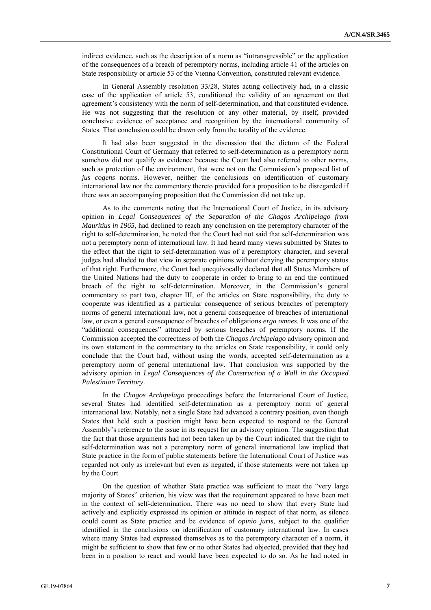indirect evidence, such as the description of a norm as "intransgressible" or the application of the consequences of a breach of peremptory norms, including article 41 of the articles on State responsibility or article 53 of the Vienna Convention, constituted relevant evidence.

In General Assembly resolution 33/28, States acting collectively had, in a classic case of the application of article 53, conditioned the validity of an agreement on that agreement's consistency with the norm of self-determination, and that constituted evidence. He was not suggesting that the resolution or any other material, by itself, provided conclusive evidence of acceptance and recognition by the international community of States. That conclusion could be drawn only from the totality of the evidence.

It had also been suggested in the discussion that the dictum of the Federal Constitutional Court of Germany that referred to self-determination as a peremptory norm somehow did not qualify as evidence because the Court had also referred to other norms, such as protection of the environment, that were not on the Commission's proposed list of *jus cogens* norms. However, neither the conclusions on identification of customary international law nor the commentary thereto provided for a proposition to be disregarded if there was an accompanying proposition that the Commission did not take up.

As to the comments noting that the International Court of Justice, in its advisory opinion in *Legal Consequences of the Separation of the Chagos Archipelago from Mauritius in 1965*, had declined to reach any conclusion on the peremptory character of the right to self-determination, he noted that the Court had not said that self-determination was not a peremptory norm of international law. It had heard many views submitted by States to the effect that the right to self-determination was of a peremptory character, and several judges had alluded to that view in separate opinions without denying the peremptory status of that right. Furthermore, the Court had unequivocally declared that all States Members of the United Nations had the duty to cooperate in order to bring to an end the continued breach of the right to self-determination. Moreover, in the Commission's general commentary to part two, chapter III, of the articles on State responsibility, the duty to cooperate was identified as a particular consequence of serious breaches of peremptory norms of general international law, not a general consequence of breaches of international law, or even a general consequence of breaches of obligations *erga omnes*. It was one of the "additional consequences" attracted by serious breaches of peremptory norms. If the Commission accepted the correctness of both the *Chagos Archipelago* advisory opinion and its own statement in the commentary to the articles on State responsibility, it could only conclude that the Court had, without using the words, accepted self-determination as a peremptory norm of general international law. That conclusion was supported by the advisory opinion in *Legal Consequences of the Construction of a Wall in the Occupied Palestinian Territory*.

In the *Chagos Archipelago* proceedings before the International Court of Justice, several States had identified self-determination as a peremptory norm of general international law. Notably, not a single State had advanced a contrary position, even though States that held such a position might have been expected to respond to the General Assembly's reference to the issue in its request for an advisory opinion. The suggestion that the fact that those arguments had not been taken up by the Court indicated that the right to self-determination was not a peremptory norm of general international law implied that State practice in the form of public statements before the International Court of Justice was regarded not only as irrelevant but even as negated, if those statements were not taken up by the Court.

On the question of whether State practice was sufficient to meet the "very large majority of States" criterion, his view was that the requirement appeared to have been met in the context of self-determination. There was no need to show that every State had actively and explicitly expressed its opinion or attitude in respect of that norm, as silence could count as State practice and be evidence of *opinio juris*, subject to the qualifier identified in the conclusions on identification of customary international law. In cases where many States had expressed themselves as to the peremptory character of a norm, it might be sufficient to show that few or no other States had objected, provided that they had been in a position to react and would have been expected to do so. As he had noted in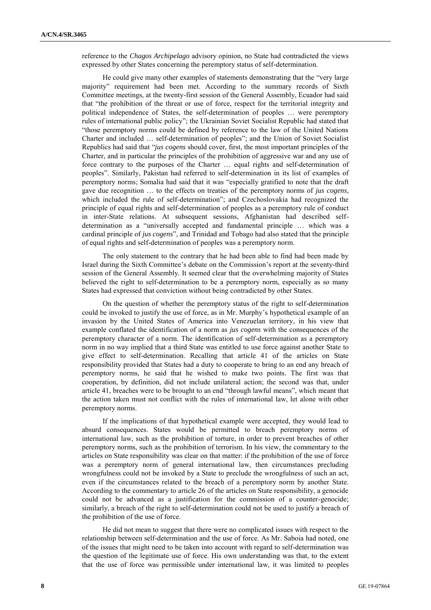reference to the *Chagos Archipelago* advisory opinion, no State had contradicted the views expressed by other States concerning the peremptory status of self-determination.

He could give many other examples of statements demonstrating that the "very large majority" requirement had been met. According to the summary records of Sixth Committee meetings, at the twenty-first session of the General Assembly, Ecuador had said that "the prohibition of the threat or use of force, respect for the territorial integrity and political independence of States, the self-determination of peoples … were peremptory rules of international public policy"; the Ukrainian Soviet Socialist Republic had stated that "those peremptory norms could be defined by reference to the law of the United Nations Charter and included … self-determination of peoples"; and the Union of Soviet Socialist Republics had said that "*jus cogens* should cover, first, the most important principles of the Charter, and in particular the principles of the prohibition of aggressive war and any use of force contrary to the purposes of the Charter … equal rights and self-determination of peoples". Similarly, Pakistan had referred to self-determination in its list of examples of peremptory norms; Somalia had said that it was "especially gratified to note that the draft gave due recognition … to the effects on treaties of the peremptory norms of *jus cogens*, which included the rule of self-determination"; and Czechoslovakia had recognized the principle of equal rights and self-determination of peoples as a peremptory rule of conduct in inter-State relations. At subsequent sessions, Afghanistan had described selfdetermination as a "universally accepted and fundamental principle … which was a cardinal principle of *jus cogens*", and Trinidad and Tobago had also stated that the principle of equal rights and self-determination of peoples was a peremptory norm.

The only statement to the contrary that he had been able to find had been made by Israel during the Sixth Committee's debate on the Commission's report at the seventy-third session of the General Assembly. It seemed clear that the overwhelming majority of States believed the right to self-determination to be a peremptory norm, especially as so many States had expressed that conviction without being contradicted by other States.

On the question of whether the peremptory status of the right to self-determination could be invoked to justify the use of force, as in Mr. Murphy's hypothetical example of an invasion by the United States of America into Venezuelan territory, in his view that example conflated the identification of a norm as *jus cogens* with the consequences of the peremptory character of a norm. The identification of self-determination as a peremptory norm in no way implied that a third State was entitled to use force against another State to give effect to self-determination. Recalling that article 41 of the articles on State responsibility provided that States had a duty to cooperate to bring to an end any breach of peremptory norms, he said that he wished to make two points. The first was that cooperation, by definition, did not include unilateral action; the second was that, under article 41, breaches were to be brought to an end "through lawful means", which meant that the action taken must not conflict with the rules of international law, let alone with other peremptory norms.

If the implications of that hypothetical example were accepted, they would lead to absurd consequences. States would be permitted to breach peremptory norms of international law, such as the prohibition of torture, in order to prevent breaches of other peremptory norms, such as the prohibition of terrorism. In his view, the commentary to the articles on State responsibility was clear on that matter: if the prohibition of the use of force was a peremptory norm of general international law, then circumstances precluding wrongfulness could not be invoked by a State to preclude the wrongfulness of such an act, even if the circumstances related to the breach of a peremptory norm by another State. According to the commentary to article 26 of the articles on State responsibility, a genocide could not be advanced as a justification for the commission of a counter-genocide; similarly, a breach of the right to self-determination could not be used to justify a breach of the prohibition of the use of force.

He did not mean to suggest that there were no complicated issues with respect to the relationship between self-determination and the use of force. As Mr. Saboia had noted, one of the issues that might need to be taken into account with regard to self-determination was the question of the legitimate use of force. His own understanding was that, to the extent that the use of force was permissible under international law, it was limited to peoples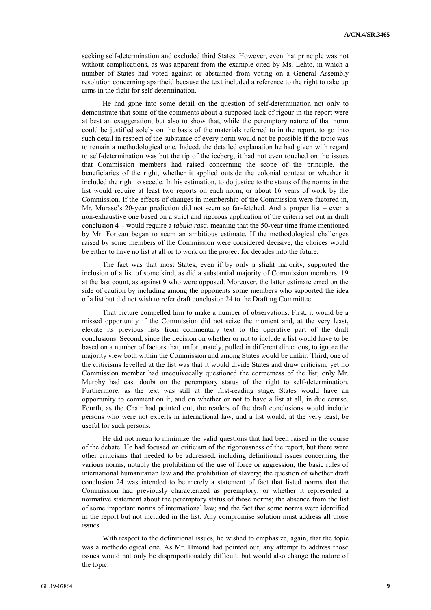seeking self-determination and excluded third States. However, even that principle was not without complications, as was apparent from the example cited by Ms. Lehto, in which a number of States had voted against or abstained from voting on a General Assembly resolution concerning apartheid because the text included a reference to the right to take up arms in the fight for self-determination.

He had gone into some detail on the question of self-determination not only to demonstrate that some of the comments about a supposed lack of rigour in the report were at best an exaggeration, but also to show that, while the peremptory nature of that norm could be justified solely on the basis of the materials referred to in the report, to go into such detail in respect of the substance of every norm would not be possible if the topic was to remain a methodological one. Indeed, the detailed explanation he had given with regard to self-determination was but the tip of the iceberg; it had not even touched on the issues that Commission members had raised concerning the scope of the principle, the beneficiaries of the right, whether it applied outside the colonial context or whether it included the right to secede. In his estimation, to do justice to the status of the norms in the list would require at least two reports on each norm, or about 16 years of work by the Commission. If the effects of changes in membership of the Commission were factored in, Mr. Murase's 20-year prediction did not seem so far-fetched. And a proper list – even a non-exhaustive one based on a strict and rigorous application of the criteria set out in draft conclusion 4 – would require a *tabula rasa*, meaning that the 50-year time frame mentioned by Mr. Forteau began to seem an ambitious estimate. If the methodological challenges raised by some members of the Commission were considered decisive, the choices would be either to have no list at all or to work on the project for decades into the future.

The fact was that most States, even if by only a slight majority, supported the inclusion of a list of some kind, as did a substantial majority of Commission members: 19 at the last count, as against 9 who were opposed. Moreover, the latter estimate erred on the side of caution by including among the opponents some members who supported the idea of a list but did not wish to refer draft conclusion 24 to the Drafting Committee.

That picture compelled him to make a number of observations. First, it would be a missed opportunity if the Commission did not seize the moment and, at the very least, elevate its previous lists from commentary text to the operative part of the draft conclusions. Second, since the decision on whether or not to include a list would have to be based on a number of factors that, unfortunately, pulled in different directions, to ignore the majority view both within the Commission and among States would be unfair. Third, one of the criticisms levelled at the list was that it would divide States and draw criticism, yet no Commission member had unequivocally questioned the correctness of the list; only Mr. Murphy had cast doubt on the peremptory status of the right to self-determination. Furthermore, as the text was still at the first-reading stage, States would have an opportunity to comment on it, and on whether or not to have a list at all, in due course. Fourth, as the Chair had pointed out, the readers of the draft conclusions would include persons who were not experts in international law, and a list would, at the very least, be useful for such persons.

He did not mean to minimize the valid questions that had been raised in the course of the debate. He had focused on criticism of the rigorousness of the report, but there were other criticisms that needed to be addressed, including definitional issues concerning the various norms, notably the prohibition of the use of force or aggression, the basic rules of international humanitarian law and the prohibition of slavery; the question of whether draft conclusion 24 was intended to be merely a statement of fact that listed norms that the Commission had previously characterized as peremptory, or whether it represented a normative statement about the peremptory status of those norms; the absence from the list of some important norms of international law; and the fact that some norms were identified in the report but not included in the list. Any compromise solution must address all those issues.

With respect to the definitional issues, he wished to emphasize, again, that the topic was a methodological one. As Mr. Hmoud had pointed out, any attempt to address those issues would not only be disproportionately difficult, but would also change the nature of the topic.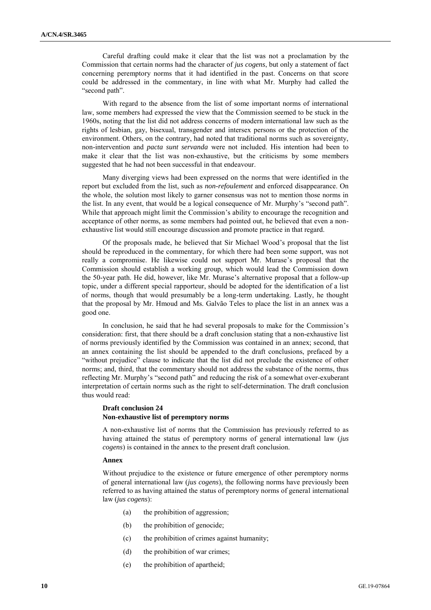Careful drafting could make it clear that the list was not a proclamation by the Commission that certain norms had the character of *jus cogens*, but only a statement of fact concerning peremptory norms that it had identified in the past. Concerns on that score could be addressed in the commentary, in line with what Mr. Murphy had called the "second path".

With regard to the absence from the list of some important norms of international law, some members had expressed the view that the Commission seemed to be stuck in the 1960s, noting that the list did not address concerns of modern international law such as the rights of lesbian, gay, bisexual, transgender and intersex persons or the protection of the environment. Others, on the contrary, had noted that traditional norms such as sovereignty, non-intervention and *pacta sunt servanda* were not included. His intention had been to make it clear that the list was non-exhaustive, but the criticisms by some members suggested that he had not been successful in that endeavour.

Many diverging views had been expressed on the norms that were identified in the report but excluded from the list, such as *non-refoulement* and enforced disappearance. On the whole, the solution most likely to garner consensus was not to mention those norms in the list. In any event, that would be a logical consequence of Mr. Murphy's "second path". While that approach might limit the Commission's ability to encourage the recognition and acceptance of other norms, as some members had pointed out, he believed that even a nonexhaustive list would still encourage discussion and promote practice in that regard.

Of the proposals made, he believed that Sir Michael Wood's proposal that the list should be reproduced in the commentary, for which there had been some support, was not really a compromise. He likewise could not support Mr. Murase's proposal that the Commission should establish a working group, which would lead the Commission down the 50-year path. He did, however, like Mr. Murase's alternative proposal that a follow-up topic, under a different special rapporteur, should be adopted for the identification of a list of norms, though that would presumably be a long-term undertaking. Lastly, he thought that the proposal by Mr. Hmoud and Ms. Galvão Teles to place the list in an annex was a good one.

In conclusion, he said that he had several proposals to make for the Commission's consideration: first, that there should be a draft conclusion stating that a non-exhaustive list of norms previously identified by the Commission was contained in an annex; second, that an annex containing the list should be appended to the draft conclusions, prefaced by a "without prejudice" clause to indicate that the list did not preclude the existence of other norms; and, third, that the commentary should not address the substance of the norms, thus reflecting Mr. Murphy's "second path" and reducing the risk of a somewhat over-exuberant interpretation of certain norms such as the right to self-determination. The draft conclusion thus would read:

#### **Draft conclusion 24 Non-exhaustive list of peremptory norms**

A non-exhaustive list of norms that the Commission has previously referred to as having attained the status of peremptory norms of general international law (*jus cogens*) is contained in the annex to the present draft conclusion.

#### **Annex**

Without prejudice to the existence or future emergence of other peremptory norms of general international law (*jus cogens*), the following norms have previously been referred to as having attained the status of peremptory norms of general international law (*jus cogens*):

- (a) the prohibition of aggression;
- (b) the prohibition of genocide;
- (c) the prohibition of crimes against humanity;
- (d) the prohibition of war crimes;
- (e) the prohibition of apartheid;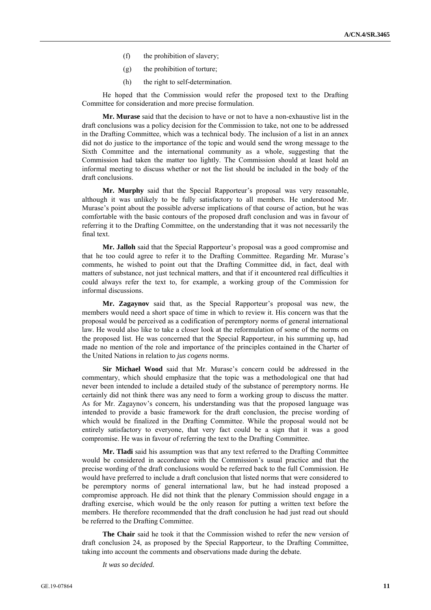- (f) the prohibition of slavery;
- (g) the prohibition of torture;
- (h) the right to self-determination.

He hoped that the Commission would refer the proposed text to the Drafting Committee for consideration and more precise formulation.

**Mr. Murase** said that the decision to have or not to have a non-exhaustive list in the draft conclusions was a policy decision for the Commission to take, not one to be addressed in the Drafting Committee, which was a technical body. The inclusion of a list in an annex did not do justice to the importance of the topic and would send the wrong message to the Sixth Committee and the international community as a whole, suggesting that the Commission had taken the matter too lightly. The Commission should at least hold an informal meeting to discuss whether or not the list should be included in the body of the draft conclusions.

**Mr. Murphy** said that the Special Rapporteur's proposal was very reasonable, although it was unlikely to be fully satisfactory to all members. He understood Mr. Murase's point about the possible adverse implications of that course of action, but he was comfortable with the basic contours of the proposed draft conclusion and was in favour of referring it to the Drafting Committee, on the understanding that it was not necessarily the final text.

**Mr. Jalloh** said that the Special Rapporteur's proposal was a good compromise and that he too could agree to refer it to the Drafting Committee. Regarding Mr. Murase's comments, he wished to point out that the Drafting Committee did, in fact, deal with matters of substance, not just technical matters, and that if it encountered real difficulties it could always refer the text to, for example, a working group of the Commission for informal discussions.

**Mr. Zagaynov** said that, as the Special Rapporteur's proposal was new, the members would need a short space of time in which to review it. His concern was that the proposal would be perceived as a codification of peremptory norms of general international law. He would also like to take a closer look at the reformulation of some of the norms on the proposed list. He was concerned that the Special Rapporteur, in his summing up, had made no mention of the role and importance of the principles contained in the Charter of the United Nations in relation to *jus cogens* norms.

**Sir Michael Wood** said that Mr. Murase's concern could be addressed in the commentary, which should emphasize that the topic was a methodological one that had never been intended to include a detailed study of the substance of peremptory norms. He certainly did not think there was any need to form a working group to discuss the matter. As for Mr. Zagaynov's concern, his understanding was that the proposed language was intended to provide a basic framework for the draft conclusion, the precise wording of which would be finalized in the Drafting Committee. While the proposal would not be entirely satisfactory to everyone, that very fact could be a sign that it was a good compromise. He was in favour of referring the text to the Drafting Committee.

**Mr. Tladi** said his assumption was that any text referred to the Drafting Committee would be considered in accordance with the Commission's usual practice and that the precise wording of the draft conclusions would be referred back to the full Commission. He would have preferred to include a draft conclusion that listed norms that were considered to be peremptory norms of general international law, but he had instead proposed a compromise approach. He did not think that the plenary Commission should engage in a drafting exercise, which would be the only reason for putting a written text before the members. He therefore recommended that the draft conclusion he had just read out should be referred to the Drafting Committee.

**The Chair** said he took it that the Commission wished to refer the new version of draft conclusion 24, as proposed by the Special Rapporteur, to the Drafting Committee, taking into account the comments and observations made during the debate.

*It was so decided.*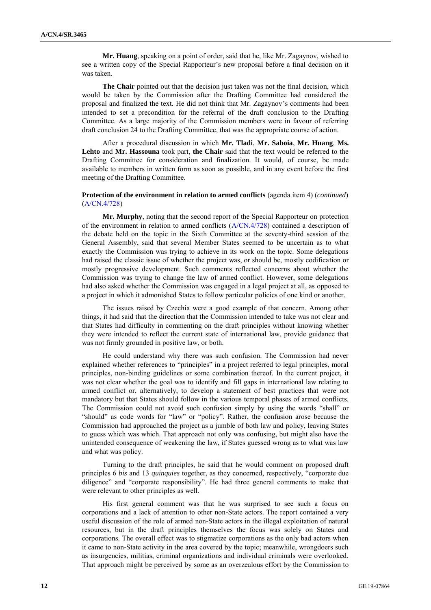**Mr. Huang**, speaking on a point of order, said that he, like Mr. Zagaynov, wished to see a written copy of the Special Rapporteur's new proposal before a final decision on it was taken.

**The Chair** pointed out that the decision just taken was not the final decision, which would be taken by the Commission after the Drafting Committee had considered the proposal and finalized the text. He did not think that Mr. Zagaynov's comments had been intended to set a precondition for the referral of the draft conclusion to the Drafting Committee. As a large majority of the Commission members were in favour of referring draft conclusion 24 to the Drafting Committee, that was the appropriate course of action.

After a procedural discussion in which **Mr. Tladi**, **Mr. Saboia**, **Mr. Huang**, **Ms. Lehto** and **Mr. Hassouna** took part, **the Chair** said that the text would be referred to the Drafting Committee for consideration and finalization. It would, of course, be made available to members in written form as soon as possible, and in any event before the first meeting of the Drafting Committee.

#### **Protection of the environment in relation to armed conflicts** (agenda item 4) (*continued*) (A/CN.4/728)

**Mr. Murphy**, noting that the second report of the Special Rapporteur on protection of the environment in relation to armed conflicts (A/CN.4/728) contained a description of the debate held on the topic in the Sixth Committee at the seventy-third session of the General Assembly, said that several Member States seemed to be uncertain as to what exactly the Commission was trying to achieve in its work on the topic. Some delegations had raised the classic issue of whether the project was, or should be, mostly codification or mostly progressive development. Such comments reflected concerns about whether the Commission was trying to change the law of armed conflict. However, some delegations had also asked whether the Commission was engaged in a legal project at all, as opposed to a project in which it admonished States to follow particular policies of one kind or another.

The issues raised by Czechia were a good example of that concern. Among other things, it had said that the direction that the Commission intended to take was not clear and that States had difficulty in commenting on the draft principles without knowing whether they were intended to reflect the current state of international law, provide guidance that was not firmly grounded in positive law, or both.

He could understand why there was such confusion. The Commission had never explained whether references to "principles" in a project referred to legal principles, moral principles, non-binding guidelines or some combination thereof. In the current project, it was not clear whether the goal was to identify and fill gaps in international law relating to armed conflict or, alternatively, to develop a statement of best practices that were not mandatory but that States should follow in the various temporal phases of armed conflicts. The Commission could not avoid such confusion simply by using the words "shall" or "should" as code words for "law" or "policy". Rather, the confusion arose because the Commission had approached the project as a jumble of both law and policy, leaving States to guess which was which. That approach not only was confusing, but might also have the unintended consequence of weakening the law, if States guessed wrong as to what was law and what was policy.

Turning to the draft principles, he said that he would comment on proposed draft principles 6 *bis* and 13 *quinquies* together, as they concerned, respectively, "corporate due diligence" and "corporate responsibility". He had three general comments to make that were relevant to other principles as well.

His first general comment was that he was surprised to see such a focus on corporations and a lack of attention to other non-State actors. The report contained a very useful discussion of the role of armed non-State actors in the illegal exploitation of natural resources, but in the draft principles themselves the focus was solely on States and corporations. The overall effect was to stigmatize corporations as the only bad actors when it came to non-State activity in the area covered by the topic; meanwhile, wrongdoers such as insurgencies, militias, criminal organizations and individual criminals were overlooked. That approach might be perceived by some as an overzealous effort by the Commission to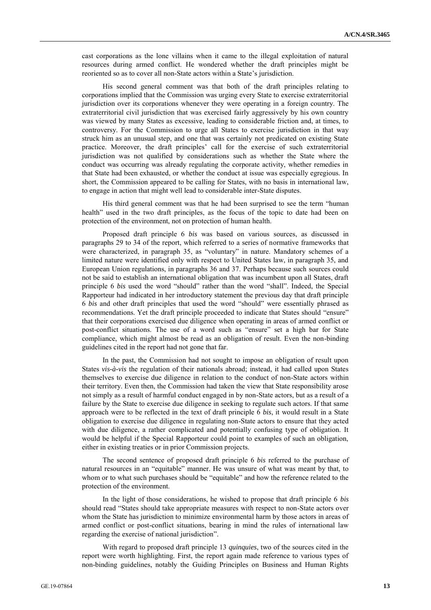cast corporations as the lone villains when it came to the illegal exploitation of natural resources during armed conflict. He wondered whether the draft principles might be reoriented so as to cover all non-State actors within a State's jurisdiction.

His second general comment was that both of the draft principles relating to corporations implied that the Commission was urging every State to exercise extraterritorial jurisdiction over its corporations whenever they were operating in a foreign country. The extraterritorial civil jurisdiction that was exercised fairly aggressively by his own country was viewed by many States as excessive, leading to considerable friction and, at times, to controversy. For the Commission to urge all States to exercise jurisdiction in that way struck him as an unusual step, and one that was certainly not predicated on existing State practice. Moreover, the draft principles' call for the exercise of such extraterritorial jurisdiction was not qualified by considerations such as whether the State where the conduct was occurring was already regulating the corporate activity, whether remedies in that State had been exhausted, or whether the conduct at issue was especially egregious. In short, the Commission appeared to be calling for States, with no basis in international law, to engage in action that might well lead to considerable inter-State disputes.

His third general comment was that he had been surprised to see the term "human health" used in the two draft principles, as the focus of the topic to date had been on protection of the environment, not on protection of human health.

Proposed draft principle 6 *bis* was based on various sources, as discussed in paragraphs 29 to 34 of the report, which referred to a series of normative frameworks that were characterized, in paragraph 35, as "voluntary" in nature. Mandatory schemes of a limited nature were identified only with respect to United States law, in paragraph 35, and European Union regulations, in paragraphs 36 and 37. Perhaps because such sources could not be said to establish an international obligation that was incumbent upon all States, draft principle 6 *bis* used the word "should" rather than the word "shall". Indeed, the Special Rapporteur had indicated in her introductory statement the previous day that draft principle 6 *bis* and other draft principles that used the word "should" were essentially phrased as recommendations. Yet the draft principle proceeded to indicate that States should "ensure" that their corporations exercised due diligence when operating in areas of armed conflict or post-conflict situations. The use of a word such as "ensure" set a high bar for State compliance, which might almost be read as an obligation of result. Even the non-binding guidelines cited in the report had not gone that far.

In the past, the Commission had not sought to impose an obligation of result upon States *vis-à-vis* the regulation of their nationals abroad; instead, it had called upon States themselves to exercise due diligence in relation to the conduct of non-State actors within their territory. Even then, the Commission had taken the view that State responsibility arose not simply as a result of harmful conduct engaged in by non-State actors, but as a result of a failure by the State to exercise due diligence in seeking to regulate such actors. If that same approach were to be reflected in the text of draft principle 6 *bis*, it would result in a State obligation to exercise due diligence in regulating non-State actors to ensure that they acted with due diligence, a rather complicated and potentially confusing type of obligation. It would be helpful if the Special Rapporteur could point to examples of such an obligation, either in existing treaties or in prior Commission projects.

The second sentence of proposed draft principle 6 *bis* referred to the purchase of natural resources in an "equitable" manner. He was unsure of what was meant by that, to whom or to what such purchases should be "equitable" and how the reference related to the protection of the environment.

In the light of those considerations, he wished to propose that draft principle 6 *bis* should read "States should take appropriate measures with respect to non-State actors over whom the State has jurisdiction to minimize environmental harm by those actors in areas of armed conflict or post-conflict situations, bearing in mind the rules of international law regarding the exercise of national jurisdiction".

With regard to proposed draft principle 13 *quinquies*, two of the sources cited in the report were worth highlighting. First, the report again made reference to various types of non-binding guidelines, notably the Guiding Principles on Business and Human Rights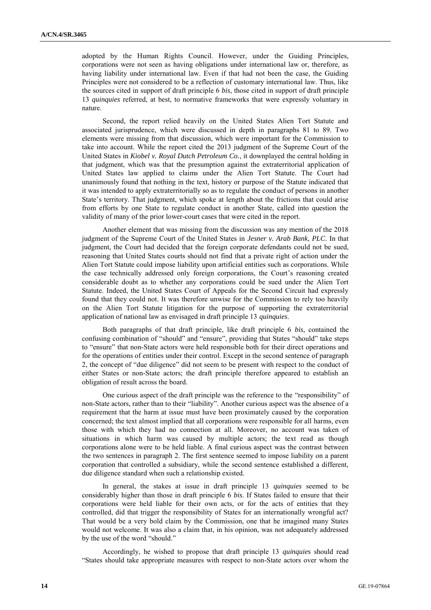adopted by the Human Rights Council. However, under the Guiding Principles, corporations were not seen as having obligations under international law or, therefore, as having liability under international law. Even if that had not been the case, the Guiding Principles were not considered to be a reflection of customary international law. Thus, like the sources cited in support of draft principle 6 *bis*, those cited in support of draft principle 13 *quinquies* referred, at best, to normative frameworks that were expressly voluntary in nature.

Second, the report relied heavily on the United States Alien Tort Statute and associated jurisprudence, which were discussed in depth in paragraphs 81 to 89. Two elements were missing from that discussion, which were important for the Commission to take into account. While the report cited the 2013 judgment of the Supreme Court of the United States in *Kiobel v. Royal Dutch Petroleum Co.*, it downplayed the central holding in that judgment, which was that the presumption against the extraterritorial application of United States law applied to claims under the Alien Tort Statute. The Court had unanimously found that nothing in the text, history or purpose of the Statute indicated that it was intended to apply extraterritorially so as to regulate the conduct of persons in another State's territory. That judgment, which spoke at length about the frictions that could arise from efforts by one State to regulate conduct in another State, called into question the validity of many of the prior lower-court cases that were cited in the report.

Another element that was missing from the discussion was any mention of the 2018 judgment of the Supreme Court of the United States in *Jesner v. Arab Bank, PLC*. In that judgment, the Court had decided that the foreign corporate defendants could not be sued, reasoning that United States courts should not find that a private right of action under the Alien Tort Statute could impose liability upon artificial entities such as corporations. While the case technically addressed only foreign corporations, the Court's reasoning created considerable doubt as to whether any corporations could be sued under the Alien Tort Statute. Indeed, the United States Court of Appeals for the Second Circuit had expressly found that they could not. It was therefore unwise for the Commission to rely too heavily on the Alien Tort Statute litigation for the purpose of supporting the extraterritorial application of national law as envisaged in draft principle 13 *quinquies*.

Both paragraphs of that draft principle, like draft principle 6 *bis*, contained the confusing combination of "should" and "ensure", providing that States "should" take steps to "ensure" that non-State actors were held responsible both for their direct operations and for the operations of entities under their control. Except in the second sentence of paragraph 2, the concept of "due diligence" did not seem to be present with respect to the conduct of either States or non-State actors; the draft principle therefore appeared to establish an obligation of result across the board.

One curious aspect of the draft principle was the reference to the "responsibility" of non-State actors, rather than to their "liability". Another curious aspect was the absence of a requirement that the harm at issue must have been proximately caused by the corporation concerned; the text almost implied that all corporations were responsible for all harms, even those with which they had no connection at all. Moreover, no account was taken of situations in which harm was caused by multiple actors; the text read as though corporations alone were to be held liable. A final curious aspect was the contrast between the two sentences in paragraph 2. The first sentence seemed to impose liability on a parent corporation that controlled a subsidiary, while the second sentence established a different, due diligence standard when such a relationship existed.

In general, the stakes at issue in draft principle 13 *quinquies* seemed to be considerably higher than those in draft principle 6 *bis*. If States failed to ensure that their corporations were held liable for their own acts, or for the acts of entities that they controlled, did that trigger the responsibility of States for an internationally wrongful act? That would be a very bold claim by the Commission, one that he imagined many States would not welcome. It was also a claim that, in his opinion, was not adequately addressed by the use of the word "should."

Accordingly, he wished to propose that draft principle 13 *quinquies* should read "States should take appropriate measures with respect to non-State actors over whom the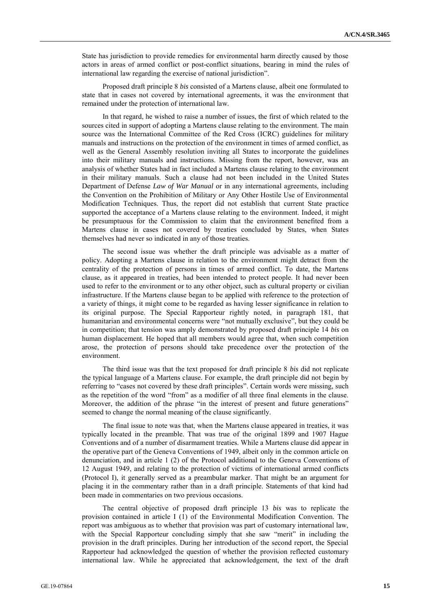State has jurisdiction to provide remedies for environmental harm directly caused by those actors in areas of armed conflict or post-conflict situations, bearing in mind the rules of international law regarding the exercise of national jurisdiction".

Proposed draft principle 8 *bis* consisted of a Martens clause, albeit one formulated to state that in cases not covered by international agreements, it was the environment that remained under the protection of international law.

In that regard, he wished to raise a number of issues, the first of which related to the sources cited in support of adopting a Martens clause relating to the environment. The main source was the International Committee of the Red Cross (ICRC) guidelines for military manuals and instructions on the protection of the environment in times of armed conflict, as well as the General Assembly resolution inviting all States to incorporate the guidelines into their military manuals and instructions. Missing from the report, however, was an analysis of whether States had in fact included a Martens clause relating to the environment in their military manuals. Such a clause had not been included in the United States Department of Defense *Law of War Manual* or in any international agreements, including the Convention on the Prohibition of Military or Any Other Hostile Use of Environmental Modification Techniques. Thus, the report did not establish that current State practice supported the acceptance of a Martens clause relating to the environment. Indeed, it might be presumptuous for the Commission to claim that the environment benefited from a Martens clause in cases not covered by treaties concluded by States, when States themselves had never so indicated in any of those treaties.

The second issue was whether the draft principle was advisable as a matter of policy. Adopting a Martens clause in relation to the environment might detract from the centrality of the protection of persons in times of armed conflict. To date, the Martens clause, as it appeared in treaties, had been intended to protect people. It had never been used to refer to the environment or to any other object, such as cultural property or civilian infrastructure. If the Martens clause began to be applied with reference to the protection of a variety of things, it might come to be regarded as having lesser significance in relation to its original purpose. The Special Rapporteur rightly noted, in paragraph 181, that humanitarian and environmental concerns were "not mutually exclusive", but they could be in competition; that tension was amply demonstrated by proposed draft principle 14 *bis* on human displacement. He hoped that all members would agree that, when such competition arose, the protection of persons should take precedence over the protection of the environment.

The third issue was that the text proposed for draft principle 8 *bis* did not replicate the typical language of a Martens clause. For example, the draft principle did not begin by referring to "cases not covered by these draft principles". Certain words were missing, such as the repetition of the word "from" as a modifier of all three final elements in the clause. Moreover, the addition of the phrase "in the interest of present and future generations" seemed to change the normal meaning of the clause significantly.

The final issue to note was that, when the Martens clause appeared in treaties, it was typically located in the preamble. That was true of the original 1899 and 1907 Hague Conventions and of a number of disarmament treaties. While a Martens clause did appear in the operative part of the Geneva Conventions of 1949, albeit only in the common article on denunciation, and in article 1 (2) of the Protocol additional to the Geneva Conventions of 12 August 1949, and relating to the protection of victims of international armed conflicts (Protocol I), it generally served as a preambular marker. That might be an argument for placing it in the commentary rather than in a draft principle. Statements of that kind had been made in commentaries on two previous occasions.

The central objective of proposed draft principle 13 *bis* was to replicate the provision contained in article I (1) of the Environmental Modification Convention. The report was ambiguous as to whether that provision was part of customary international law, with the Special Rapporteur concluding simply that she saw "merit" in including the provision in the draft principles. During her introduction of the second report, the Special Rapporteur had acknowledged the question of whether the provision reflected customary international law. While he appreciated that acknowledgement, the text of the draft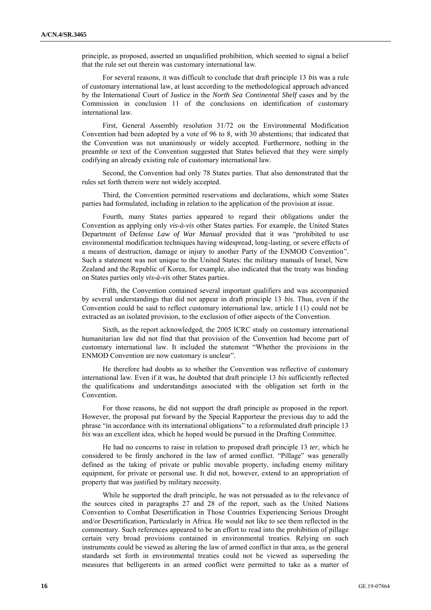principle, as proposed, asserted an unqualified prohibition, which seemed to signal a belief that the rule set out therein was customary international law.

For several reasons, it was difficult to conclude that draft principle 13 *bis* was a rule of customary international law, at least according to the methodological approach advanced by the International Court of Justice in the *North Sea Continental Shelf* cases and by the Commission in conclusion 11 of the conclusions on identification of customary international law.

First, General Assembly resolution 31/72 on the Environmental Modification Convention had been adopted by a vote of 96 to 8, with 30 abstentions; that indicated that the Convention was not unanimously or widely accepted. Furthermore, nothing in the preamble or text of the Convention suggested that States believed that they were simply codifying an already existing rule of customary international law.

Second, the Convention had only 78 States parties. That also demonstrated that the rules set forth therein were not widely accepted.

Third, the Convention permitted reservations and declarations, which some States parties had formulated, including in relation to the application of the provision at issue.

Fourth, many States parties appeared to regard their obligations under the Convention as applying only *vis-à-vis* other States parties. For example, the United States Department of Defense *Law of War Manual* provided that it was "prohibited to use environmental modification techniques having widespread, long-lasting, or severe effects of a means of destruction, damage or injury to another Party of the ENMOD Convention". Such a statement was not unique to the United States: the military manuals of Israel, New Zealand and the Republic of Korea, for example, also indicated that the treaty was binding on States parties only *vis-à-vis* other States parties.

Fifth, the Convention contained several important qualifiers and was accompanied by several understandings that did not appear in draft principle 13 *bis*. Thus, even if the Convention could be said to reflect customary international law, article I (1) could not be extracted as an isolated provision, to the exclusion of other aspects of the Convention.

Sixth, as the report acknowledged, the 2005 ICRC study on customary international humanitarian law did not find that that provision of the Convention had become part of customary international law. It included the statement "Whether the provisions in the ENMOD Convention are now customary is unclear".

He therefore had doubts as to whether the Convention was reflective of customary international law. Even if it was, he doubted that draft principle 13 *bis* sufficiently reflected the qualifications and understandings associated with the obligation set forth in the Convention.

For those reasons, he did not support the draft principle as proposed in the report. However, the proposal put forward by the Special Rapporteur the previous day to add the phrase "in accordance with its international obligations" to a reformulated draft principle 13 *bis* was an excellent idea, which he hoped would be pursued in the Drafting Committee.

He had no concerns to raise in relation to proposed draft principle 13 *ter*, which he considered to be firmly anchored in the law of armed conflict. "Pillage" was generally defined as the taking of private or public movable property, including enemy military equipment, for private or personal use. It did not, however, extend to an appropriation of property that was justified by military necessity.

While he supported the draft principle, he was not persuaded as to the relevance of the sources cited in paragraphs 27 and 28 of the report, such as the United Nations Convention to Combat Desertification in Those Countries Experiencing Serious Drought and/or Desertification, Particularly in Africa. He would not like to see them reflected in the commentary. Such references appeared to be an effort to read into the prohibition of pillage certain very broad provisions contained in environmental treaties. Relying on such instruments could be viewed as altering the law of armed conflict in that area, as the general standards set forth in environmental treaties could not be viewed as superseding the measures that belligerents in an armed conflict were permitted to take as a matter of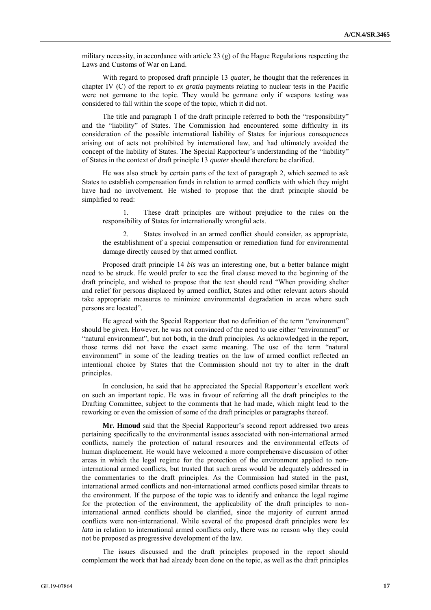military necessity, in accordance with article 23  $(g)$  of the Hague Regulations respecting the Laws and Customs of War on Land.

With regard to proposed draft principle 13 *quater*, he thought that the references in chapter IV (C) of the report to *ex gratia* payments relating to nuclear tests in the Pacific were not germane to the topic. They would be germane only if weapons testing was considered to fall within the scope of the topic, which it did not.

The title and paragraph 1 of the draft principle referred to both the "responsibility" and the "liability" of States. The Commission had encountered some difficulty in its consideration of the possible international liability of States for injurious consequences arising out of acts not prohibited by international law, and had ultimately avoided the concept of the liability of States. The Special Rapporteur's understanding of the "liability" of States in the context of draft principle 13 *quater* should therefore be clarified.

He was also struck by certain parts of the text of paragraph 2, which seemed to ask States to establish compensation funds in relation to armed conflicts with which they might have had no involvement. He wished to propose that the draft principle should be simplified to read:

1. These draft principles are without prejudice to the rules on the responsibility of States for internationally wrongful acts.

2. States involved in an armed conflict should consider, as appropriate, the establishment of a special compensation or remediation fund for environmental damage directly caused by that armed conflict.

Proposed draft principle 14 *bis* was an interesting one, but a better balance might need to be struck. He would prefer to see the final clause moved to the beginning of the draft principle, and wished to propose that the text should read "When providing shelter and relief for persons displaced by armed conflict, States and other relevant actors should take appropriate measures to minimize environmental degradation in areas where such persons are located".

He agreed with the Special Rapporteur that no definition of the term "environment" should be given. However, he was not convinced of the need to use either "environment" or "natural environment", but not both, in the draft principles. As acknowledged in the report, those terms did not have the exact same meaning. The use of the term "natural environment" in some of the leading treaties on the law of armed conflict reflected an intentional choice by States that the Commission should not try to alter in the draft principles.

In conclusion, he said that he appreciated the Special Rapporteur's excellent work on such an important topic. He was in favour of referring all the draft principles to the Drafting Committee, subject to the comments that he had made, which might lead to the reworking or even the omission of some of the draft principles or paragraphs thereof.

**Mr. Hmoud** said that the Special Rapporteur's second report addressed two areas pertaining specifically to the environmental issues associated with non-international armed conflicts, namely the protection of natural resources and the environmental effects of human displacement. He would have welcomed a more comprehensive discussion of other areas in which the legal regime for the protection of the environment applied to noninternational armed conflicts, but trusted that such areas would be adequately addressed in the commentaries to the draft principles. As the Commission had stated in the past, international armed conflicts and non-international armed conflicts posed similar threats to the environment. If the purpose of the topic was to identify and enhance the legal regime for the protection of the environment, the applicability of the draft principles to noninternational armed conflicts should be clarified, since the majority of current armed conflicts were non-international. While several of the proposed draft principles were *lex lata* in relation to international armed conflicts only, there was no reason why they could not be proposed as progressive development of the law.

The issues discussed and the draft principles proposed in the report should complement the work that had already been done on the topic, as well as the draft principles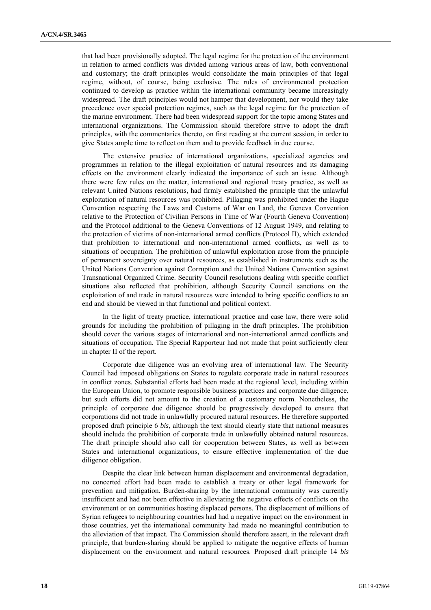that had been provisionally adopted. The legal regime for the protection of the environment in relation to armed conflicts was divided among various areas of law, both conventional and customary; the draft principles would consolidate the main principles of that legal regime, without, of course, being exclusive. The rules of environmental protection continued to develop as practice within the international community became increasingly widespread. The draft principles would not hamper that development, nor would they take precedence over special protection regimes, such as the legal regime for the protection of the marine environment. There had been widespread support for the topic among States and international organizations. The Commission should therefore strive to adopt the draft principles, with the commentaries thereto, on first reading at the current session, in order to give States ample time to reflect on them and to provide feedback in due course.

The extensive practice of international organizations, specialized agencies and programmes in relation to the illegal exploitation of natural resources and its damaging effects on the environment clearly indicated the importance of such an issue. Although there were few rules on the matter, international and regional treaty practice, as well as relevant United Nations resolutions, had firmly established the principle that the unlawful exploitation of natural resources was prohibited. Pillaging was prohibited under the Hague Convention respecting the Laws and Customs of War on Land, the Geneva Convention relative to the Protection of Civilian Persons in Time of War (Fourth Geneva Convention) and the Protocol additional to the Geneva Conventions of 12 August 1949, and relating to the protection of victims of non-international armed conflicts (Protocol II), which extended that prohibition to international and non-international armed conflicts, as well as to situations of occupation. The prohibition of unlawful exploitation arose from the principle of permanent sovereignty over natural resources, as established in instruments such as the United Nations Convention against Corruption and the United Nations Convention against Transnational Organized Crime. Security Council resolutions dealing with specific conflict situations also reflected that prohibition, although Security Council sanctions on the exploitation of and trade in natural resources were intended to bring specific conflicts to an end and should be viewed in that functional and political context.

In the light of treaty practice, international practice and case law, there were solid grounds for including the prohibition of pillaging in the draft principles. The prohibition should cover the various stages of international and non-international armed conflicts and situations of occupation. The Special Rapporteur had not made that point sufficiently clear in chapter II of the report.

Corporate due diligence was an evolving area of international law. The Security Council had imposed obligations on States to regulate corporate trade in natural resources in conflict zones. Substantial efforts had been made at the regional level, including within the European Union, to promote responsible business practices and corporate due diligence, but such efforts did not amount to the creation of a customary norm. Nonetheless, the principle of corporate due diligence should be progressively developed to ensure that corporations did not trade in unlawfully procured natural resources. He therefore supported proposed draft principle 6 *bis*, although the text should clearly state that national measures should include the prohibition of corporate trade in unlawfully obtained natural resources. The draft principle should also call for cooperation between States, as well as between States and international organizations, to ensure effective implementation of the due diligence obligation.

Despite the clear link between human displacement and environmental degradation, no concerted effort had been made to establish a treaty or other legal framework for prevention and mitigation. Burden-sharing by the international community was currently insufficient and had not been effective in alleviating the negative effects of conflicts on the environment or on communities hosting displaced persons. The displacement of millions of Syrian refugees to neighbouring countries had had a negative impact on the environment in those countries, yet the international community had made no meaningful contribution to the alleviation of that impact. The Commission should therefore assert, in the relevant draft principle, that burden-sharing should be applied to mitigate the negative effects of human displacement on the environment and natural resources. Proposed draft principle 14 *bis*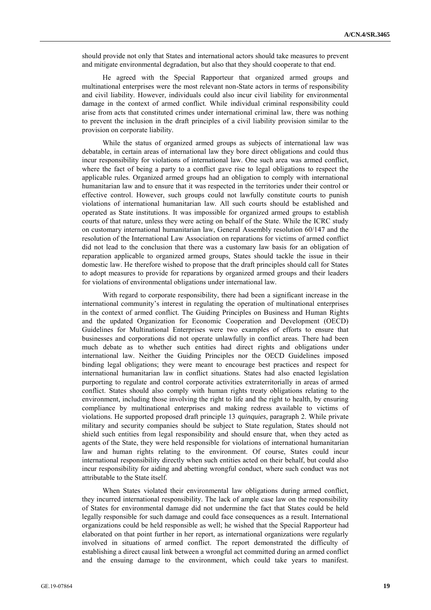should provide not only that States and international actors should take measures to prevent and mitigate environmental degradation, but also that they should cooperate to that end.

He agreed with the Special Rapporteur that organized armed groups and multinational enterprises were the most relevant non-State actors in terms of responsibility and civil liability. However, individuals could also incur civil liability for environmental damage in the context of armed conflict. While individual criminal responsibility could arise from acts that constituted crimes under international criminal law, there was nothing to prevent the inclusion in the draft principles of a civil liability provision similar to the provision on corporate liability.

While the status of organized armed groups as subjects of international law was debatable, in certain areas of international law they bore direct obligations and could thus incur responsibility for violations of international law. One such area was armed conflict, where the fact of being a party to a conflict gave rise to legal obligations to respect the applicable rules. Organized armed groups had an obligation to comply with international humanitarian law and to ensure that it was respected in the territories under their control or effective control. However, such groups could not lawfully constitute courts to punish violations of international humanitarian law. All such courts should be established and operated as State institutions. It was impossible for organized armed groups to establish courts of that nature, unless they were acting on behalf of the State. While the ICRC study on customary international humanitarian law, General Assembly resolution 60/147 and the resolution of the International Law Association on reparations for victims of armed conflict did not lead to the conclusion that there was a customary law basis for an obligation of reparation applicable to organized armed groups, States should tackle the issue in their domestic law. He therefore wished to propose that the draft principles should call for States to adopt measures to provide for reparations by organized armed groups and their leaders for violations of environmental obligations under international law.

With regard to corporate responsibility, there had been a significant increase in the international community's interest in regulating the operation of multinational enterprises in the context of armed conflict. The Guiding Principles on Business and Human Rights and the updated Organization for Economic Cooperation and Development (OECD) Guidelines for Multinational Enterprises were two examples of efforts to ensure that businesses and corporations did not operate unlawfully in conflict areas. There had been much debate as to whether such entities had direct rights and obligations under international law. Neither the Guiding Principles nor the OECD Guidelines imposed binding legal obligations; they were meant to encourage best practices and respect for international humanitarian law in conflict situations. States had also enacted legislation purporting to regulate and control corporate activities extraterritorially in areas of armed conflict. States should also comply with human rights treaty obligations relating to the environment, including those involving the right to life and the right to health, by ensuring compliance by multinational enterprises and making redress available to victims of violations. He supported proposed draft principle 13 *quinquies*, paragraph 2. While private military and security companies should be subject to State regulation, States should not shield such entities from legal responsibility and should ensure that, when they acted as agents of the State, they were held responsible for violations of international humanitarian law and human rights relating to the environment. Of course, States could incur international responsibility directly when such entities acted on their behalf, but could also incur responsibility for aiding and abetting wrongful conduct, where such conduct was not attributable to the State itself.

When States violated their environmental law obligations during armed conflict, they incurred international responsibility. The lack of ample case law on the responsibility of States for environmental damage did not undermine the fact that States could be held legally responsible for such damage and could face consequences as a result. International organizations could be held responsible as well; he wished that the Special Rapporteur had elaborated on that point further in her report, as international organizations were regularly involved in situations of armed conflict. The report demonstrated the difficulty of establishing a direct causal link between a wrongful act committed during an armed conflict and the ensuing damage to the environment, which could take years to manifest.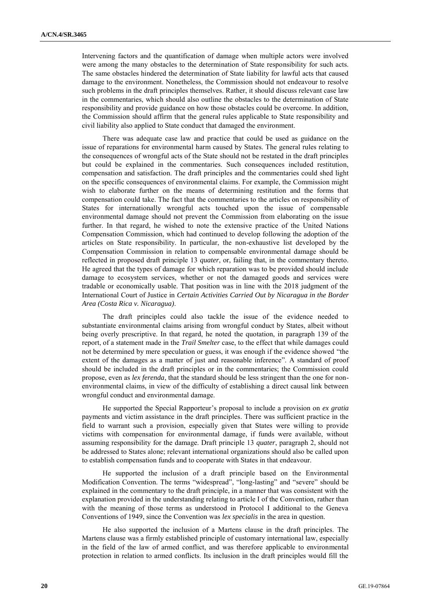Intervening factors and the quantification of damage when multiple actors were involved were among the many obstacles to the determination of State responsibility for such acts. The same obstacles hindered the determination of State liability for lawful acts that caused damage to the environment. Nonetheless, the Commission should not endeavour to resolve such problems in the draft principles themselves. Rather, it should discuss relevant case law in the commentaries, which should also outline the obstacles to the determination of State responsibility and provide guidance on how those obstacles could be overcome. In addition, the Commission should affirm that the general rules applicable to State responsibility and civil liability also applied to State conduct that damaged the environment.

There was adequate case law and practice that could be used as guidance on the issue of reparations for environmental harm caused by States. The general rules relating to the consequences of wrongful acts of the State should not be restated in the draft principles but could be explained in the commentaries. Such consequences included restitution, compensation and satisfaction. The draft principles and the commentaries could shed light on the specific consequences of environmental claims. For example, the Commission might wish to elaborate further on the means of determining restitution and the forms that compensation could take. The fact that the commentaries to the articles on responsibility of States for internationally wrongful acts touched upon the issue of compensable environmental damage should not prevent the Commission from elaborating on the issue further. In that regard, he wished to note the extensive practice of the United Nations Compensation Commission, which had continued to develop following the adoption of the articles on State responsibility. In particular, the non-exhaustive list developed by the Compensation Commission in relation to compensable environmental damage should be reflected in proposed draft principle 13 *quater*, or, failing that, in the commentary thereto. He agreed that the types of damage for which reparation was to be provided should include damage to ecosystem services, whether or not the damaged goods and services were tradable or economically usable. That position was in line with the 2018 judgment of the International Court of Justice in *Certain Activities Carried Out by Nicaragua in the Border Area (Costa Rica v. Nicaragua)*.

The draft principles could also tackle the issue of the evidence needed to substantiate environmental claims arising from wrongful conduct by States, albeit without being overly prescriptive. In that regard, he noted the quotation, in paragraph 139 of the report, of a statement made in the *Trail Smelter* case, to the effect that while damages could not be determined by mere speculation or guess, it was enough if the evidence showed "the extent of the damages as a matter of just and reasonable inference". A standard of proof should be included in the draft principles or in the commentaries; the Commission could propose, even as *lex ferenda*, that the standard should be less stringent than the one for nonenvironmental claims, in view of the difficulty of establishing a direct causal link between wrongful conduct and environmental damage.

He supported the Special Rapporteur's proposal to include a provision on *ex gratia* payments and victim assistance in the draft principles. There was sufficient practice in the field to warrant such a provision, especially given that States were willing to provide victims with compensation for environmental damage, if funds were available, without assuming responsibility for the damage. Draft principle 13 *quater*, paragraph 2, should not be addressed to States alone; relevant international organizations should also be called upon to establish compensation funds and to cooperate with States in that endeavour.

He supported the inclusion of a draft principle based on the Environmental Modification Convention. The terms "widespread", "long-lasting" and "severe" should be explained in the commentary to the draft principle, in a manner that was consistent with the explanation provided in the understanding relating to article I of the Convention, rather than with the meaning of those terms as understood in Protocol I additional to the Geneva Conventions of 1949, since the Convention was *lex specialis* in the area in question.

He also supported the inclusion of a Martens clause in the draft principles. The Martens clause was a firmly established principle of customary international law, especially in the field of the law of armed conflict, and was therefore applicable to environmental protection in relation to armed conflicts. Its inclusion in the draft principles would fill the